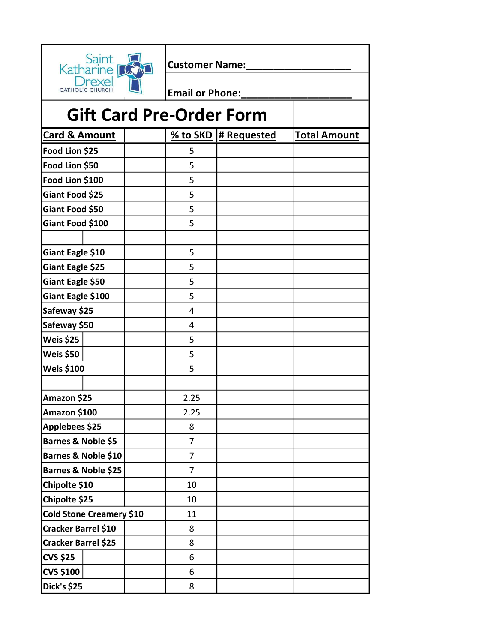| Saint<br>Katharine              |  | <b>Customer Name:</b>  |             |                     |  |  |
|---------------------------------|--|------------------------|-------------|---------------------|--|--|
| rexe<br><b>CATHOLIC CHURCH</b>  |  | <b>Email or Phone:</b> |             |                     |  |  |
| <b>Gift Card Pre-Order Form</b> |  |                        |             |                     |  |  |
| <b>Card &amp; Amount</b>        |  | % to SKD               | # Requested | <b>Total Amount</b> |  |  |
| Food Lion \$25                  |  | 5                      |             |                     |  |  |
| Food Lion \$50                  |  | 5                      |             |                     |  |  |
| Food Lion \$100                 |  | 5                      |             |                     |  |  |
| Giant Food \$25                 |  | 5                      |             |                     |  |  |
| Giant Food \$50                 |  | 5                      |             |                     |  |  |
| Giant Food \$100                |  | 5                      |             |                     |  |  |
|                                 |  |                        |             |                     |  |  |
| Giant Eagle \$10                |  | 5                      |             |                     |  |  |
| Giant Eagle \$25                |  | 5                      |             |                     |  |  |
| Giant Eagle \$50                |  | 5                      |             |                     |  |  |
| Giant Eagle \$100               |  | 5                      |             |                     |  |  |
| Safeway \$25                    |  | 4                      |             |                     |  |  |
| Safeway \$50                    |  | 4                      |             |                     |  |  |
| Weis \$25                       |  | 5                      |             |                     |  |  |
| Weis \$50                       |  | 5                      |             |                     |  |  |
| <b>Weis \$100</b>               |  | 5                      |             |                     |  |  |
|                                 |  |                        |             |                     |  |  |
| Amazon \$25                     |  | 2.25                   |             |                     |  |  |
| Amazon \$100                    |  | 2.25                   |             |                     |  |  |
| Applebees \$25                  |  | 8                      |             |                     |  |  |
| Barnes & Noble \$5              |  | $\overline{7}$         |             |                     |  |  |
| Barnes & Noble \$10             |  | $\overline{7}$         |             |                     |  |  |
| Barnes & Noble \$25             |  | $\overline{7}$         |             |                     |  |  |
| Chipolte \$10                   |  | 10                     |             |                     |  |  |
| Chipolte \$25                   |  | 10                     |             |                     |  |  |
| Cold Stone Creamery \$10        |  | 11                     |             |                     |  |  |
| Cracker Barrel \$10             |  | 8                      |             |                     |  |  |
| Cracker Barrel \$25             |  | 8                      |             |                     |  |  |
| <b>CVS \$25</b>                 |  | 6                      |             |                     |  |  |
| <b>CVS \$100</b>                |  | 6                      |             |                     |  |  |
| <b>Dick's \$25</b>              |  | 8                      |             |                     |  |  |